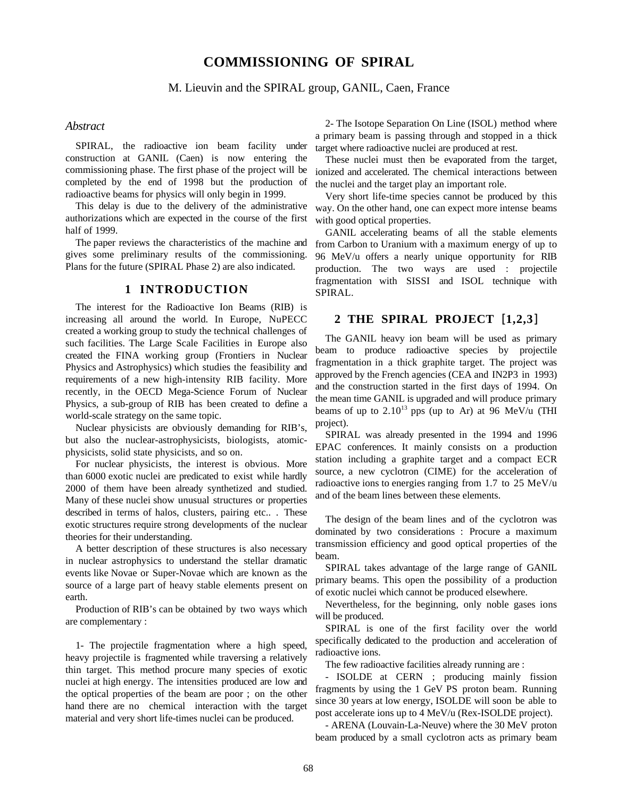# **COMMISSIONING OF SPIRAL**

M. Lieuvin and the SPIRAL group, GANIL, Caen, France

#### *Abstract*

SPIRAL, the radioactive ion beam facility under construction at GANIL (Caen) is now entering the commissioning phase. The first phase of the project will be completed by the end of 1998 but the production of radioactive beams for physics will only begin in 1999.

This delay is due to the delivery of the administrative authorizations which are expected in the course of the first half of 1999.

The paper reviews the characteristics of the machine and gives some preliminary results of the commissioning. Plans for the future (SPIRAL Phase 2) are also indicated.

## **1 INTRODUCTION**

The interest for the Radioactive Ion Beams (RIB) is increasing all around the world. In Europe, NuPECC created a working group to study the technical challenges of such facilities. The Large Scale Facilities in Europe also created the FINA working group (Frontiers in Nuclear Physics and Astrophysics) which studies the feasibility and requirements of a new high-intensity RIB facility. More recently, in the OECD Mega-Science Forum of Nuclear Physics, a sub-group of RIB has been created to define a world-scale strategy on the same topic.

Nuclear physicists are obviously demanding for RIB's, but also the nuclear-astrophysicists, biologists, atomicphysicists, solid state physicists, and so on.

For nuclear physicists, the interest is obvious. More than 6000 exotic nuclei are predicated to exist while hardly 2000 of them have been already synthetized and studied. Many of these nuclei show unusual structures or properties described in terms of halos, clusters, pairing etc.. . These exotic structures require strong developments of the nuclear theories for their understanding.

A better description of these structures is also necessary in nuclear astrophysics to understand the stellar dramatic events like Novae or Super-Novae which are known as the source of a large part of heavy stable elements present on earth.

Production of RIB's can be obtained by two ways which are complementary :

1- The projectile fragmentation where a high speed, heavy projectile is fragmented while traversing a relatively thin target. This method procure many species of exotic nuclei at high energy. The intensities produced are low and the optical properties of the beam are poor ; on the other hand there are no chemical interaction with the target material and very short life-times nuclei can be produced.

2- The Isotope Separation On Line (ISOL) method where a primary beam is passing through and stopped in a thick target where radioactive nuclei are produced at rest.

These nuclei must then be evaporated from the target, ionized and accelerated. The chemical interactions between the nuclei and the target play an important role.

Very short life-time species cannot be produced by this way. On the other hand, one can expect more intense beams with good optical properties.

GANIL accelerating beams of all the stable elements from Carbon to Uranium with a maximum energy of up to 96 MeV/u offers a nearly unique opportunity for RIB production. The two ways are used : projectile fragmentation with SISSI and ISOL technique with SPIRAL.

#### **2 THE SPIRAL PROJECT** [**1,2,3**]

The GANIL heavy ion beam will be used as primary beam to produce radioactive species by projectile fragmentation in a thick graphite target. The project was approved by the French agencies (CEA and IN2P3 in 1993) and the construction started in the first days of 1994. On the mean time GANIL is upgraded and will produce primary beams of up to  $2.10^{13}$  pps (up to Ar) at 96 MeV/u (THI project).

SPIRAL was already presented in the 1994 and 1996 EPAC conferences. It mainly consists on a production station including a graphite target and a compact ECR source, a new cyclotron (CIME) for the acceleration of radioactive ions to energies ranging from 1.7 to 25 MeV/u and of the beam lines between these elements.

The design of the beam lines and of the cyclotron was dominated by two considerations : Procure a maximum transmission efficiency and good optical properties of the beam.

SPIRAL takes advantage of the large range of GANIL primary beams. This open the possibility of a production of exotic nuclei which cannot be produced elsewhere.

Nevertheless, for the beginning, only noble gases ions will be produced.

SPIRAL is one of the first facility over the world specifically dedicated to the production and acceleration of radioactive ions.

The few radioactive facilities already running are :

- ISOLDE at CERN ; producing mainly fission fragments by using the 1 GeV PS proton beam. Running since 30 years at low energy, ISOLDE will soon be able to post accelerate ions up to 4 MeV/u (Rex-ISOLDE project).

- ARENA (Louvain-La-Neuve) where the 30 MeV proton beam produced by a small cyclotron acts as primary beam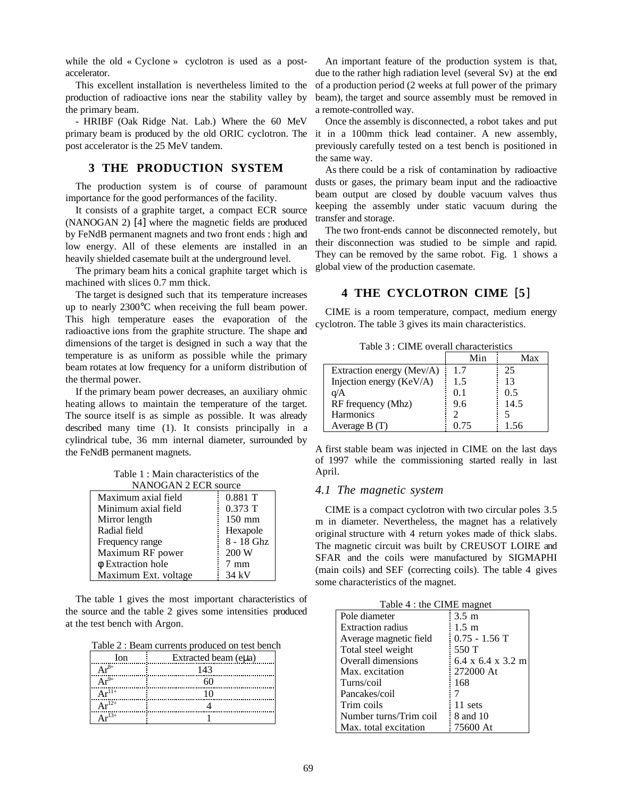while the old « Cyclone » cyclotron is used as a postaccelerator.

This excellent installation is nevertheless limited to the production of radioactive ions near the stability valley by the primary beam.

- HRIBF (Oak Ridge Nat. Lab.) Where the 60 MeV primary beam is produced by the old ORIC cyclotron. The post accelerator is the 25 MeV tandem.

## **3 THE PRODUCTION SYSTEM**

The production system is of course of paramount importance for the good performances of the facility.

It consists of a graphite target, a compact ECR source (NANOGAN 2) [4] where the magnetic fields are produced by FeNdB permanent magnets and two front ends : high and low energy. All of these elements are installed in an heavily shielded casemate built at the underground level.

The primary beam hits a conical graphite target which is machined with slices 0.7 mm thick.

The target is designed such that its temperature increases up to nearly 2300°C when receiving the full beam power. This high temperature eases the evaporation of the radioactive ions from the graphite structure. The shape and dimensions of the target is designed in such a way that the temperature is as uniform as possible while the primary beam rotates at low frequency for a uniform distribution of the thermal power.

If the primary beam power decreases, an auxiliary ohmic heating allows to maintain the temperature of the target. The source itself is as simple as possible. It was already described many time (1). It consists principally in a cylindrical tube, 36 mm internal diameter, surrounded by the FeNdB permanent magnets.

Table 1 : Main characteristics of the NANOGAN 2 ECR source

| Maximum axial field  | $0.881$ T      |
|----------------------|----------------|
| Minimum axial field  | $0.373$ T      |
| Mirror length        | $150$ mm       |
| Radial field         | Hexapole       |
| Frequency range      | 8 - 18 Ghz     |
| Maximum RF power     | 200 W          |
| φ Extraction hole    | $7 \text{ mm}$ |
| Maximum Ext. voltage | 34 kV          |

The table 1 gives the most important characteristics of the source and the table 2 gives some intensities produced at the test bench with Argon.

Table 2 : Beam currents produced on test bench

| Ion               | Extracted beam (eµa) |
|-------------------|----------------------|
|                   | 143                  |
|                   |                      |
| $\Lambda r^{11+}$ |                      |
| $.12+$            |                      |
| $13+$             |                      |

An important feature of the production system is that, due to the rather high radiation level (several Sv) at the end of a production period (2 weeks at full power of the primary beam), the target and source assembly must be removed in a remote-controlled way.

Once the assembly is disconnected, a robot takes and put it in a 100mm thick lead container. A new assembly, previously carefully tested on a test bench is positioned in the same way.

As there could be a risk of contamination by radioactive dusts or gases, the primary beam input and the radioactive beam output are closed by double vacuum valves thus keeping the assembly under static vacuum during the transfer and storage.

The two front-ends cannot be disconnected remotely, but their disconnection was studied to be simple and rapid. They can be removed by the same robot. Fig. 1 shows a global view of the production casemate.

## **4 THE CYCLOTRON CIME** [**5**]

CIME is a room temperature, compact, medium energy cyclotron. The table 3 gives its main characteristics.

Table 3 : CIME overall characteristics

|                           | Min  | Max  |
|---------------------------|------|------|
| Extraction energy (Mev/A) | 1.7  | 25   |
| Injection energy (KeV/A)  | 1.5  | 13   |
| q/A                       | 0.1  | 0.5  |
| RF frequency (Mhz)        | 9.6  | 14.5 |
| Harmonics                 |      |      |
| Average B (T)             | 0.75 | 1.56 |

A first stable beam was injected in CIME on the last days of 1997 while the commissioning started really in last April.

#### *4.1 The magnetic system*

CIME is a compact cyclotron with two circular poles 3.5 m in diameter. Nevertheless, the magnet has a relatively original structure with 4 return yokes made of thick slabs. The magnetic circuit was built by CREUSOT LOIRE and SFAR and the coils were manufactured by SIGMAPHI (main coils) and SEF (correcting coils). The table 4 gives some characteristics of the magnet.

| Table 4 : the CIME magnet |                     |  |
|---------------------------|---------------------|--|
| Pole diameter             | $3.5 \text{ m}$     |  |
| <b>Extraction radius</b>  | $1.5 \; \mathrm{m}$ |  |
| Average magnetic field    | $0.75 - 1.56$ T     |  |
| Total steel weight        | 550 T               |  |
| Overall dimensions        | 6.4 x 6.4 x 3.2 m   |  |
| Max. excitation           | 272000 At           |  |
| Turns/coil                | 168                 |  |
| Pancakes/coil             |                     |  |
| Trim coils                | 11 sets             |  |
| Number turns/Trim coil    | 8 and 10            |  |
| Max. total excitation     | 75600 At            |  |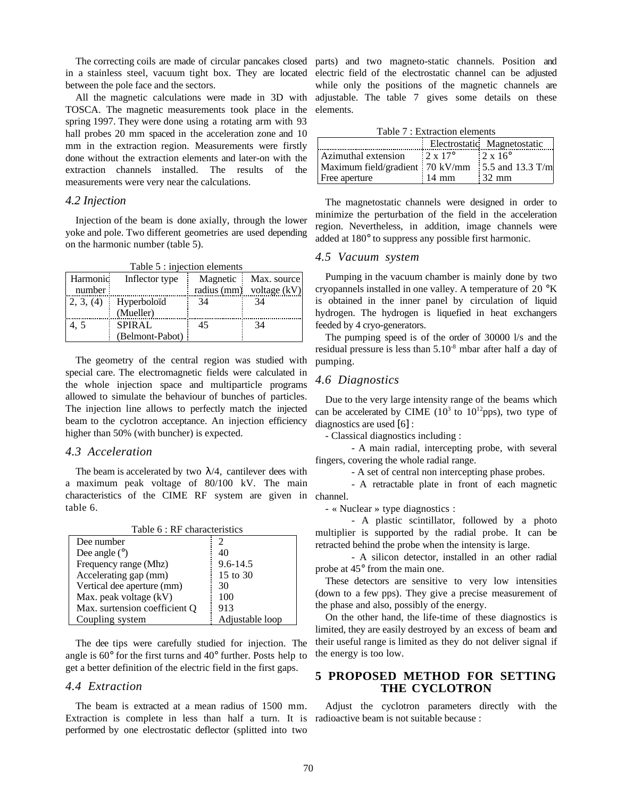between the pole face and the sectors.

All the magnetic calculations were made in 3D with TOSCA. The magnetic measurements took place in the spring 1997. They were done using a rotating arm with 93 hall probes 20 mm spaced in the acceleration zone and 10 mm in the extraction region. Measurements were firstly done without the extraction elements and later-on with the extraction channels installed. The results of the measurements were very near the calculations.

## *4.2 Injection*

Injection of the beam is done axially, through the lower yoke and pole. Two different geometries are used depending on the harmonic number (table 5).

| Table 5 : injection elements |                 |    |                            |
|------------------------------|-----------------|----|----------------------------|
| Harmonic                     | Inflector type  |    | Magnetic Max. source       |
| number                       |                 |    | radius (mm) voltage $(kV)$ |
| 2, 3, (4)<br>ĵ               | Hyperboloïd     | 34 | 34                         |
|                              | (Mueller)       |    |                            |
| 4.5                          | <b>SPIRAL</b>   | 45 | 34                         |
|                              | (Belmont-Pabot) |    |                            |

The geometry of the central region was studied with special care. The electromagnetic fields were calculated in the whole injection space and multiparticle programs allowed to simulate the behaviour of bunches of particles. The injection line allows to perfectly match the injected beam to the cyclotron acceptance. An injection efficiency higher than 50% (with buncher) is expected.

#### *4.3 Acceleration*

The beam is accelerated by two  $\lambda/4$ , cantilever dees with a maximum peak voltage of 80/100 kV. The main characteristics of the CIME RF system are given in channel. table 6.

| Table 6 : RF characteristics  |                 |  |
|-------------------------------|-----------------|--|
| Dee number                    |                 |  |
| Dee angle $(°)$               | 40              |  |
| Frequency range (Mhz)         | $9.6 - 14.5$    |  |
| Accelerating gap (mm)         | 15 to 30        |  |
| Vertical dee aperture (mm)    | 30              |  |
| Max. peak voltage (kV)        | 100             |  |
| Max. surtension coefficient Q | 913             |  |
| Coupling system               | Adjustable loop |  |

The dee tips were carefully studied for injection. The angle is 60° for the first turns and 40° further. Posts help to get a better definition of the electric field in the first gaps.

#### *4.4 Extraction*

The beam is extracted at a mean radius of 1500 mm. Extraction is complete in less than half a turn. It is performed by one electrostatic deflector (splitted into two

The correcting coils are made of circular pancakes closed parts) and two magneto-static channels. Position and in a stainless steel, vacuum tight box. They are located electric field of the electrostatic channel can be adjusted while only the positions of the magnetic channels are adjustable. The table 7 gives some details on these elements.

Table 7 : Extraction elements

|                                                      |                       | Electrostatic Magnetostatic |
|------------------------------------------------------|-----------------------|-----------------------------|
| Azimuthal extension                                  | $2 \times 17^{\circ}$ | $2 \times 16^{\circ}$       |
| Maximum field/gradient : 70 kV/mm : 5.5 and 13.3 T/m |                       |                             |
| Free aperture                                        | $14 \text{ mm}$       | $32 \text{ mm}$             |

The magnetostatic channels were designed in order to minimize the perturbation of the field in the acceleration region. Nevertheless, in addition, image channels were added at 180° to suppress any possible first harmonic.

## *4.5 Vacuum system*

Pumping in the vacuum chamber is mainly done by two cryopannels installed in one valley. A temperature of 20 °K is obtained in the inner panel by circulation of liquid hydrogen. The hydrogen is liquefied in heat exchangers feeded by 4 cryo-generators.

The pumping speed is of the order of 30000 l/s and the residual pressure is less than 5.10-8 mbar after half a day of pumping.

#### *4.6 Diagnostics*

Due to the very large intensity range of the beams which can be accelerated by CIME  $(10^3$  to  $10^{12}$ pps), two type of diagnostics are used [6] :

- Classical diagnostics including :

- A main radial, intercepting probe, with several fingers, covering the whole radial range.

- A set of central non intercepting phase probes.

- A retractable plate in front of each magnetic

- « Nuclear » type diagnostics :

- A plastic scintillator, followed by a photo multiplier is supported by the radial probe. It can be retracted behind the probe when the intensity is large.

- A silicon detector, installed in an other radial probe at 45° from the main one.

These detectors are sensitive to very low intensities (down to a few pps). They give a precise measurement of the phase and also, possibly of the energy.

On the other hand, the life-time of these diagnostics is limited, they are easily destroyed by an excess of beam and their useful range is limited as they do not deliver signal if the energy is too low.

## **5 PROPOSED METHOD FOR SETTING THE CYCLOTRON**

Adjust the cyclotron parameters directly with the radioactive beam is not suitable because :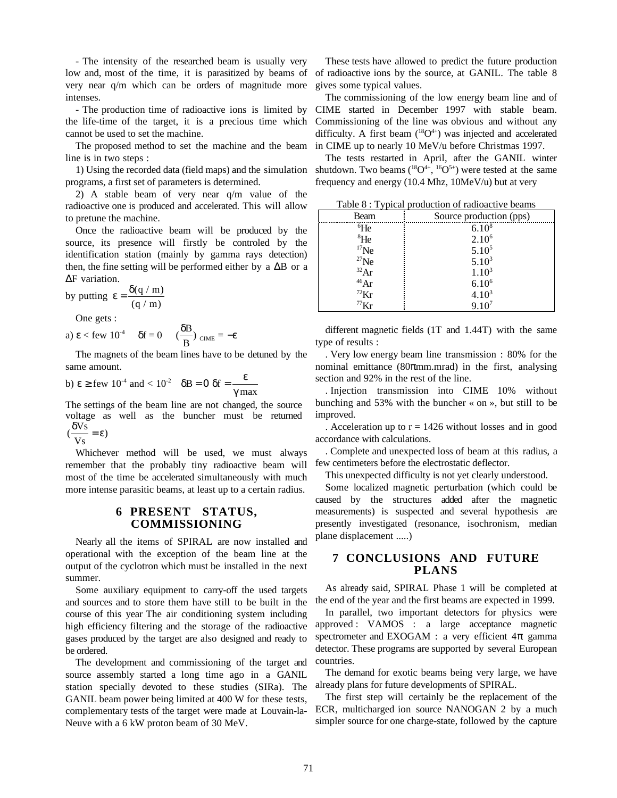- The intensity of the researched beam is usually very low and, most of the time, it is parasitized by beams of very near q/m which can be orders of magnitude more intenses.

- The production time of radioactive ions is limited by the life-time of the target, it is a precious time which cannot be used to set the machine.

The proposed method to set the machine and the beam line is in two steps :

1) Using the recorded data (field maps) and the simulation programs, a first set of parameters is determined.

2) A stable beam of very near q/m value of the radioactive one is produced and accelerated. This will allow to pretune the machine.

Once the radioactive beam will be produced by the source, its presence will firstly be controled by the identification station (mainly by gamma rays detection) then, the fine setting will be performed either by a ∆B or a ∆F variation.

by putting  $\varepsilon = \frac{\delta(q/m)}{r^2}$  $(q / m)$ 

One gets :

a) 
$$
\varepsilon
$$
  $\varepsilon$  few 10<sup>-4</sup>  $\delta f = 0$   $(\frac{\delta B}{B})_{CIME} = -\varepsilon$ 

The magnets of the beam lines have to be detuned by the same amount.

b) 
$$
\varepsilon \ge
$$
 few 10<sup>-4</sup> and  $< 10^2$   $\delta B = 0$   $\delta f = \frac{\varepsilon}{\gamma \max}$ 

The settings of the beam line are not changed, the source voltage as well as the buncher must be returned  $\frac{\delta Vs}{\sigma}$  $e<sub>1</sub>$ 

$$
(\frac{1}{\mathbf{V}\mathbf{s}}) = \mathbf{g}
$$

Whichever method will be used, we must always remember that the probably tiny radioactive beam will most of the time be accelerated simultaneously with much more intense parasitic beams, at least up to a certain radius.

### **6 PRESENT STATUS, COMMISSIONING**

Nearly all the items of SPIRAL are now installed and operational with the exception of the beam line at the output of the cyclotron which must be installed in the next summer.

Some auxiliary equipment to carry-off the used targets and sources and to store them have still to be built in the course of this year The air conditioning system including high efficiency filtering and the storage of the radioactive gases produced by the target are also designed and ready to be ordered.

The development and commissioning of the target and source assembly started a long time ago in a GANIL station specially devoted to these studies (SIRa). The GANIL beam power being limited at 400 W for these tests, complementary tests of the target were made at Louvain-la-Neuve with a 6 kW proton beam of 30 MeV.

These tests have allowed to predict the future production of radioactive ions by the source, at GANIL. The table 8 gives some typical values.

The commissioning of the low energy beam line and of CIME started in December 1997 with stable beam. Commissioning of the line was obvious and without any difficulty. A first beam  $(^{18}O^{4+})$  was injected and accelerated in CIME up to nearly 10 MeV/u before Christmas 1997.

The tests restarted in April, after the GANIL winter shutdown. Two beams  $(^{18}O^{4+}, ^{16}O^{5+})$  were tested at the same frequency and energy (10.4 Mhz, 10MeV/u) but at very

| Table 8 : Typical production of radioactive beams |                         |
|---------------------------------------------------|-------------------------|
| Beam                                              | Source production (pps) |
| ${}^{6}$ He                                       | $6.10^{8}$              |
| <sup>8</sup> He                                   | $2.10^{6}$              |
| $17$ Ne                                           | $5.10^{5}$              |
| $^{27}$ Ne                                        | $5.10^{3}$              |
| 32Ar                                              | $1.10^{3}$              |
| 46Ar                                              | $6.10^{6}$              |
| $^{72}$ Kr                                        | $4.10^{3}$              |
| $^{77}$ Kr                                        | $9.10^{7}$              |

different magnetic fields (1T and 1.44T) with the same type of results :

. Very low energy beam line transmission : 80% for the nominal emittance (80 $\pi$ mm.mrad) in the first, analysing section and 92% in the rest of the line.

. Injection transmission into CIME 10% without bunching and 53% with the buncher « on », but still to be improved.

. Acceleration up to  $r = 1426$  without losses and in good accordance with calculations.

. Complete and unexpected loss of beam at this radius, a few centimeters before the electrostatic deflector.

This unexpected difficulty is not yet clearly understood.

Some localized magnetic perturbation (which could be caused by the structures added after the magnetic measurements) is suspected and several hypothesis are presently investigated (resonance, isochronism, median plane displacement .....)

## **7 CONCLUSIONS AND FUTURE PLANS**

As already said, SPIRAL Phase 1 will be completed at the end of the year and the first beams are expected in 1999.

In parallel, two important detectors for physics were approved : VAMOS : a large acceptance magnetic spectrometer and EXOGAM : a very efficient  $4\pi$  gamma detector. These programs are supported by several European countries.

The demand for exotic beams being very large, we have already plans for future developments of SPIRAL.

The first step will certainly be the replacement of the ECR, multicharged ion source NANOGAN 2 by a much simpler source for one charge-state, followed by the capture